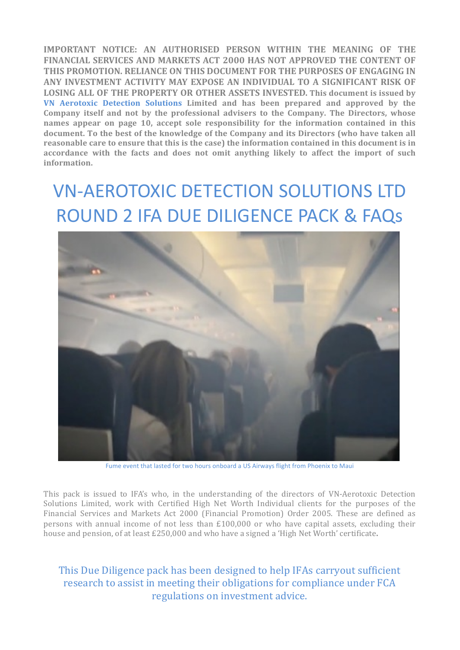**IMPORTANT NOTICE: AN AUTHORISED PERSON WITHIN THE MEANING OF THE FINANCIAL SERVICES AND MARKETS ACT 2000 HAS NOT APPROVED THE CONTENT OF** THIS PROMOTION. RELIANCE ON THIS DOCUMENT FOR THE PURPOSES OF ENGAGING IN ANY INVESTMENT ACTIVITY MAY EXPOSE AN INDIVIDUAL TO A SIGNIFICANT RISK OF **LOSING ALL OF THE PROPERTY OR OTHER ASSETS INVESTED. This document is issued by VN Aerotoxic Detection Solutions Limited and has been prepared and approved by the**  Company itself and not by the professional advisers to the Company. The Directors, whose **names** appear on page 10, accept sole responsibility for the information contained in this **document.** To the best of the knowledge of the Company and its Directors (who have taken all **reasonable care to ensure that this is the case) the information contained in this document is in** accordance with the facts and does not omit anything likely to affect the import of such **information.**

# VN-AEROTOXIC DETECTION SOLUTIONS LTD ROUND 2 IFA DUE DILIGENCE PACK & FAQS



Fume event that lasted for two hours onboard a US Airways flight from Phoenix to Maui

This pack is issued to IFA's who, in the understanding of the directors of VN-Aerotoxic Detection Solutions Limited, work with Certified High Net Worth Individual clients for the purposes of the Financial Services and Markets Act 2000 (Financial Promotion) Order 2005. These are defined as persons with annual income of not less than  $£100,000$  or who have capital assets, excluding their house and pension, of at least £250,000 and who have a signed a 'High Net Worth' certificate.

# This Due Diligence pack has been designed to help IFAs carryout sufficient research to assist in meeting their obligations for compliance under FCA regulations on investment advice.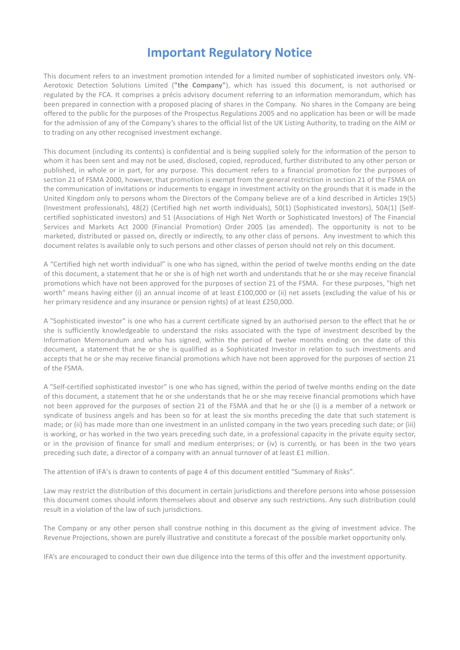# **Important Regulatory Notice**

This document refers to an investment promotion intended for a limited number of sophisticated investors only. VN-Aerotoxic Detection Solutions Limited ("the Company"), which has issued this document, is not authorised or regulated by the FCA. It comprises a précis advisory document referring to an information memorandum, which has been prepared in connection with a proposed placing of shares in the Company. No shares in the Company are being offered to the public for the purposes of the Prospectus Regulations 2005 and no application has been or will be made for the admission of any of the Company's shares to the official list of the UK Listing Authority, to trading on the AIM or to trading on any other recognised investment exchange.

This document (including its contents) is confidential and is being supplied solely for the information of the person to whom it has been sent and may not be used, disclosed, copied, reproduced, further distributed to any other person or published, in whole or in part, for any purpose. This document refers to a financial promotion for the purposes of section 21 of FSMA 2000, however, that promotion is exempt from the general restriction in section 21 of the FSMA on the communication of invitations or inducements to engage in investment activity on the grounds that it is made in the United Kingdom only to persons whom the Directors of the Company believe are of a kind described in Articles 19(5) (Investment professionals), 48(2) (Certified high net worth individuals), 50(1) (Sophisticated investors), 50A(1) (Selfcertified sophisticated investors) and 51 (Associations of High Net Worth or Sophisticated Investors) of The Financial Services and Markets Act 2000 (Financial Promotion) Order 2005 (as amended). The opportunity is not to be marketed, distributed or passed on, directly or indirectly, to any other class of persons. Any investment to which this document relates is available only to such persons and other classes of person should not rely on this document.

A "Certified high net worth individual" is one who has signed, within the period of twelve months ending on the date of this document, a statement that he or she is of high net worth and understands that he or she may receive financial promotions which have not been approved for the purposes of section 21 of the FSMA. For these purposes, "high net worth" means having either (i) an annual income of at least £100,000 or (ii) net assets (excluding the value of his or her primary residence and any insurance or pension rights) of at least £250,000.

A "Sophisticated investor" is one who has a current certificate signed by an authorised person to the effect that he or she is sufficiently knowledgeable to understand the risks associated with the type of investment described by the Information Memorandum and who has signed, within the period of twelve months ending on the date of this document, a statement that he or she is qualified as a Sophisticated Investor in relation to such investments and accepts that he or she may receive financial promotions which have not been approved for the purposes of section 21 of the FSMA.

A "Self-certified sophisticated investor" is one who has signed, within the period of twelve months ending on the date of this document, a statement that he or she understands that he or she may receive financial promotions which have not been approved for the purposes of section 21 of the FSMA and that he or she (i) is a member of a network or syndicate of business angels and has been so for at least the six months preceding the date that such statement is made; or (ii) has made more than one investment in an unlisted company in the two years preceding such date; or (iii) is working, or has worked in the two years preceding such date, in a professional capacity in the private equity sector, or in the provision of finance for small and medium enterprises; or (iv) is currently, or has been in the two years preceding such date, a director of a company with an annual turnover of at least £1 million.

The attention of IFA's is drawn to contents of page 4 of this document entitled "Summary of Risks".

Law may restrict the distribution of this document in certain jurisdictions and therefore persons into whose possession this document comes should inform themselves about and observe any such restrictions. Any such distribution could result in a violation of the law of such jurisdictions.

The Company or any other person shall construe nothing in this document as the giving of investment advice. The Revenue Projections, shown are purely illustrative and constitute a forecast of the possible market opportunity only.

IFA's are encouraged to conduct their own due diligence into the terms of this offer and the investment opportunity.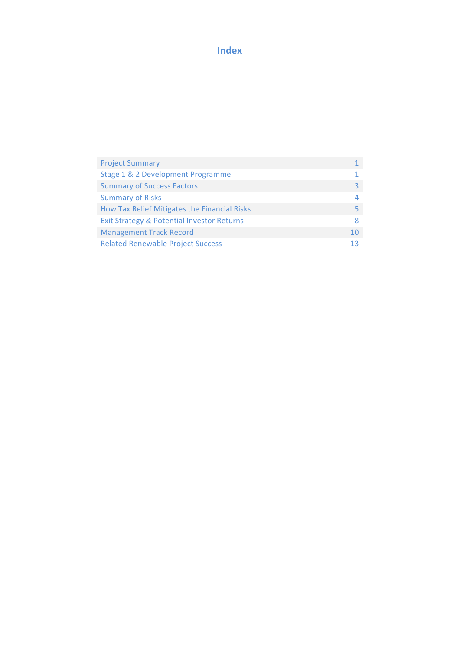# **Index**

| <b>Project Summary</b>                                |    |
|-------------------------------------------------------|----|
| Stage 1 & 2 Development Programme                     |    |
| <b>Summary of Success Factors</b>                     | ₹  |
| <b>Summary of Risks</b>                               | 4  |
| How Tax Relief Mitigates the Financial Risks          | 5  |
| <b>Exit Strategy &amp; Potential Investor Returns</b> | 8  |
| <b>Management Track Record</b>                        | 10 |
| <b>Related Renewable Project Success</b>              | 13 |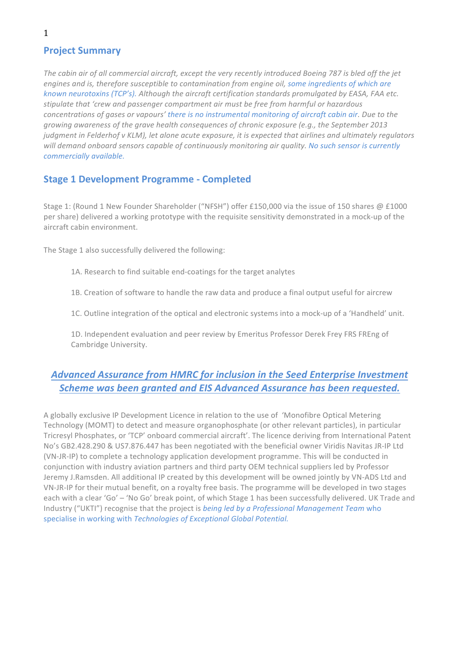# **Project Summary**

The cabin air of all commercial aircraft, except the very recently introduced Boeing 787 is bled off the jet engines and is, therefore susceptible to contamination from engine oil, some ingredients of which are *known neurotoxins* (TCP's). Although the aircraft certification standards promulgated by EASA, FAA etc. stipulate that 'crew and passenger compartment air must be free from harmful or hazardous *concentrations* of gases or vapours' there is no instrumental monitoring of aircraft cabin air. Due to the growing awareness of the grave health consequences of chronic exposure (e.g., the September 2013 *judgment in Felderhof v KLM), let alone acute exposure, it is expected that airlines and ultimately regulators* will demand onboard sensors capable of continuously monitoring air quality. No such sensor is currently *commercially available.*

# **Stage 1 Development Programme - Completed**

Stage 1: (Round 1 New Founder Shareholder ("NFSH") offer £150,000 via the issue of 150 shares @ £1000 per share) delivered a working prototype with the requisite sensitivity demonstrated in a mock-up of the aircraft cabin environment.

The Stage 1 also successfully delivered the following:

1A. Research to find suitable end-coatings for the target analytes

1B. Creation of software to handle the raw data and produce a final output useful for aircrew

1C. Outline integration of the optical and electronic systems into a mock-up of a 'Handheld' unit.

1D. Independent evaluation and peer review by Emeritus Professor Derek Frey FRS FREng of Cambridge University.

# Advanced Assurance from HMRC for inclusion in the Seed Enterprise Investment **Scheme was been granted and EIS Advanced Assurance has been requested.**

A globally exclusive IP Development Licence in relation to the use of 'Monofibre Optical Metering Technology (MOMT) to detect and measure organophosphate (or other relevant particles), in particular Tricresyl Phosphates, or 'TCP' onboard commercial aircraft'. The licence deriving from International Patent No's GB2.428.290 & US7.876.447 has been negotiated with the beneficial owner Viridis Navitas JR-IP Ltd (VN-JR-IP) to complete a technology application development programme. This will be conducted in conjunction with industry aviation partners and third party OEM technical suppliers led by Professor Jeremy J.Ramsden. All additional IP created by this development will be owned jointly by VN-ADS Ltd and VN-JR-IP for their mutual benefit, on a royalty free basis. The programme will be developed in two stages each with a clear 'Go' – 'No Go' break point, of which Stage 1 has been successfully delivered. UK Trade and Industry ("UKTI") recognise that the project is *being led by a Professional Management Team* who specialise in working with *Technologies of Exceptional Global Potential*.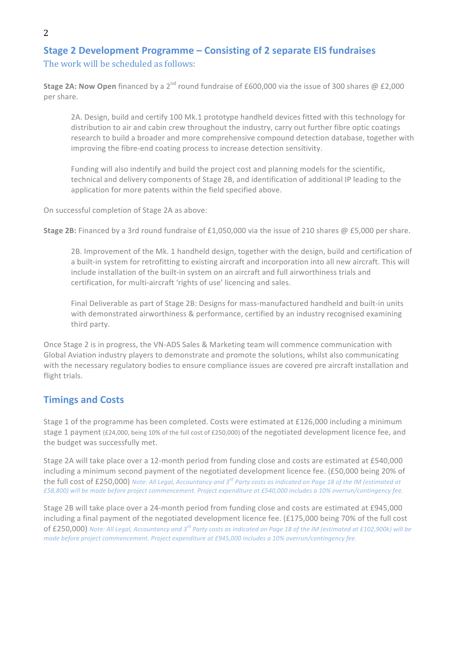# **Stage 2 Development Programme – Consisting of 2 separate EIS fundraises** The work will be scheduled as follows:

**Stage 2A: Now Open** financed by a 2<sup>nd</sup> round fundraise of £600,000 via the issue of 300 shares @ £2,000 per share.

2A. Design, build and certify 100 Mk.1 prototype handheld devices fitted with this technology for distribution to air and cabin crew throughout the industry, carry out further fibre optic coatings research to build a broader and more comprehensive compound detection database, together with improving the fibre-end coating process to increase detection sensitivity.

Funding will also indentify and build the project cost and planning models for the scientific, technical and delivery components of Stage 2B, and identification of additional IP leading to the application for more patents within the field specified above.

On successful completion of Stage 2A as above:

**Stage 2B:** Financed by a 3rd round fundraise of £1,050,000 via the issue of 210 shares @ £5,000 per share.

2B. Improvement of the Mk. 1 handheld design, together with the design, build and certification of a built-in system for retrofitting to existing aircraft and incorporation into all new aircraft. This will include installation of the built-in system on an aircraft and full airworthiness trials and certification, for multi-aircraft 'rights of use' licencing and sales.

Final Deliverable as part of Stage 2B: Designs for mass-manufactured handheld and built-in units with demonstrated airworthiness & performance, certified by an industry recognised examining third party.

Once Stage 2 is in progress, the VN-ADS Sales & Marketing team will commence communication with Global Aviation industry players to demonstrate and promote the solutions, whilst also communicating with the necessary regulatory bodies to ensure compliance issues are covered pre aircraft installation and flight trials.

# **Timings and Costs**

Stage 1 of the programme has been completed. Costs were estimated at £126,000 including a minimum stage 1 payment (£24,000, being 10% of the full cost of £250,000) of the negotiated development licence fee, and the budget was successfully met.

Stage 2A will take place over a 12-month period from funding close and costs are estimated at £540,000 including a minimum second payment of the negotiated development licence fee. (£50,000 being 20% of the full cost of £250,000) *Note:* All Legal, Accountancy and 3<sup>rd</sup> Party costs as indicated on Page 18 of the IM (estimated at *£58,800) will be made before project commencement. Project expenditure at £540,000 includes a 10% overrun/contingency fee.*

Stage 2B will take place over a 24-month period from funding close and costs are estimated at £945,000 including a final payment of the negotiated development licence fee. (£175,000 being 70% of the full cost of £250,000) Note: All Legal, Accountancy and 3<sup>rd</sup> Party costs as indicated on Page 18 of the IM (estimated at £102,900k) will be *made before project commencement. Project expenditure at £945,000 includes a 10% overrun/contingency fee.*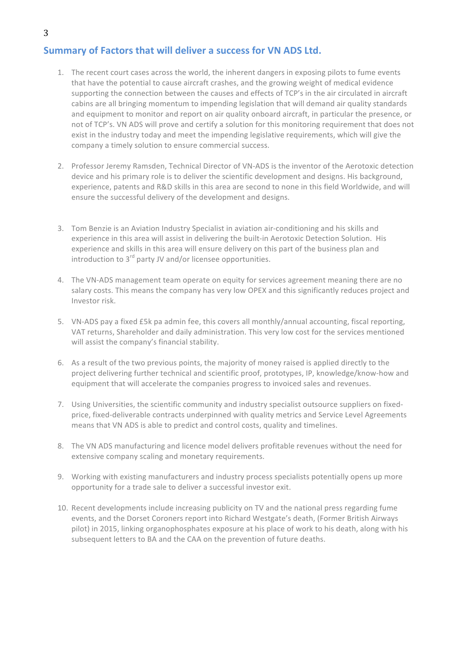# **Summary of Factors that will deliver a success for VN ADS Ltd.**

- 1. The recent court cases across the world, the inherent dangers in exposing pilots to fume events that have the potential to cause aircraft crashes, and the growing weight of medical evidence supporting the connection between the causes and effects of TCP's in the air circulated in aircraft cabins are all bringing momentum to impending legislation that will demand air quality standards and equipment to monitor and report on air quality onboard aircraft, in particular the presence, or not of TCP's. VN ADS will prove and certify a solution for this monitoring requirement that does not exist in the industry today and meet the impending legislative requirements, which will give the company a timely solution to ensure commercial success.
- 2. Professor Jeremy Ramsden, Technical Director of VN-ADS is the inventor of the Aerotoxic detection device and his primary role is to deliver the scientific development and designs. His background, experience, patents and R&D skills in this area are second to none in this field Worldwide, and will ensure the successful delivery of the development and designs.
- 3. Tom Benzie is an Aviation Industry Specialist in aviation air-conditioning and his skills and experience in this area will assist in delivering the built-in Aerotoxic Detection Solution. His experience and skills in this area will ensure delivery on this part of the business plan and introduction to  $3^{rd}$  party JV and/or licensee opportunities.
- 4. The VN-ADS management team operate on equity for services agreement meaning there are no salary costs. This means the company has very low OPEX and this significantly reduces project and Investor risk.
- 5. VN-ADS pay a fixed £5k pa admin fee, this covers all monthly/annual accounting, fiscal reporting, VAT returns, Shareholder and daily administration. This very low cost for the services mentioned will assist the company's financial stability.
- 6. As a result of the two previous points, the majority of money raised is applied directly to the project delivering further technical and scientific proof, prototypes, IP, knowledge/know-how and equipment that will accelerate the companies progress to invoiced sales and revenues.
- 7. Using Universities, the scientific community and industry specialist outsource suppliers on fixedprice, fixed-deliverable contracts underpinned with quality metrics and Service Level Agreements means that VN ADS is able to predict and control costs, quality and timelines.
- 8. The VN ADS manufacturing and licence model delivers profitable revenues without the need for extensive company scaling and monetary requirements.
- 9. Working with existing manufacturers and industry process specialists potentially opens up more opportunity for a trade sale to deliver a successful investor exit.
- 10. Recent developments include increasing publicity on TV and the national press regarding fume events, and the Dorset Coroners report into Richard Westgate's death, (Former British Airways pilot) in 2015, linking organophosphates exposure at his place of work to his death, along with his subsequent letters to BA and the CAA on the prevention of future deaths.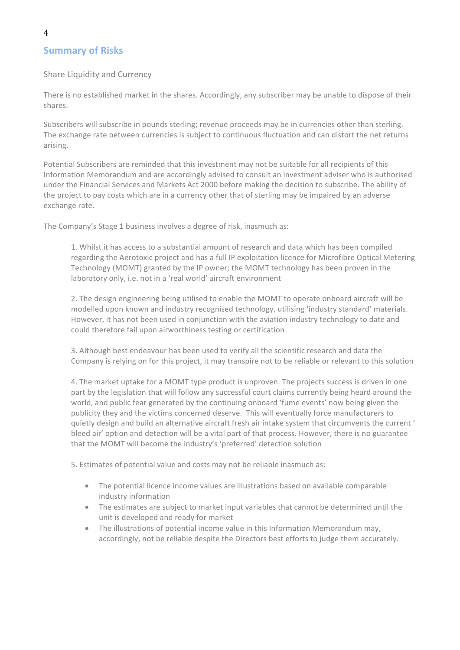# **Summary of Risks**

#### Share Liquidity and Currency

There is no established market in the shares. Accordingly, any subscriber may be unable to dispose of their shares.

Subscribers will subscribe in pounds sterling; revenue proceeds may be in currencies other than sterling. The exchange rate between currencies is subject to continuous fluctuation and can distort the net returns arising. 

Potential Subscribers are reminded that this investment may not be suitable for all recipients of this Information Memorandum and are accordingly advised to consult an investment adviser who is authorised under the Financial Services and Markets Act 2000 before making the decision to subscribe. The ability of the project to pay costs which are in a currency other that of sterling may be impaired by an adverse exchange rate.

The Company's Stage 1 business involves a degree of risk, inasmuch as:

1. Whilst it has access to a substantial amount of research and data which has been compiled regarding the Aerotoxic project and has a full IP exploitation licence for Microfibre Optical Metering Technology (MOMT) granted by the IP owner; the MOMT technology has been proven in the laboratory only, i.e. not in a 'real world' aircraft environment

2. The design engineering being utilised to enable the MOMT to operate onboard aircraft will be modelled upon known and industry recognised technology, utilising 'industry standard' materials. However, it has not been used in conjunction with the aviation industry technology to date and could therefore fail upon airworthiness testing or certification

3. Although best endeavour has been used to verify all the scientific research and data the Company is relying on for this project, it may transpire not to be reliable or relevant to this solution

4. The market uptake for a MOMT type product is unproven. The projects success is driven in one part by the legislation that will follow any successful court claims currently being heard around the world, and public fear generated by the continuing onboard 'fume events' now being given the publicity they and the victims concerned deserve. This will eventually force manufacturers to quietly design and build an alternative aircraft fresh air intake system that circumvents the current ' bleed air' option and detection will be a vital part of that process. However, there is no guarantee that the MOMT will become the industry's 'preferred' detection solution

5. Estimates of potential value and costs may not be reliable inasmuch as:

- The potential licence income values are illustrations based on available comparable industry information
- The estimates are subject to market input variables that cannot be determined until the unit is developed and ready for market
- The illustrations of potential income value in this Information Memorandum may. accordingly, not be reliable despite the Directors best efforts to judge them accurately.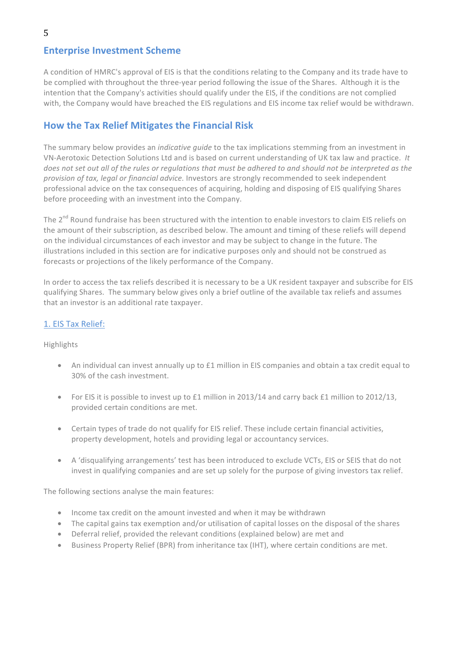# **Enterprise Investment Scheme**

A condition of HMRC's approval of EIS is that the conditions relating to the Company and its trade have to be complied with throughout the three-year period following the issue of the Shares. Although it is the intention that the Company's activities should qualify under the EIS, if the conditions are not complied with, the Company would have breached the EIS regulations and EIS income tax relief would be withdrawn.

# **How the Tax Relief Mitigates the Financial Risk**

The summary below provides an *indicative guide* to the tax implications stemming from an investment in VN-Aerotoxic Detection Solutions Ltd and is based on current understanding of UK tax law and practice. It *does not set out all of the rules or regulations that must be adhered to and should not be interpreted as the* provision of tax, legal or financial advice. Investors are strongly recommended to seek independent professional advice on the tax consequences of acquiring, holding and disposing of EIS qualifying Shares before proceeding with an investment into the Company.

The  $2^{nd}$  Round fundraise has been structured with the intention to enable investors to claim EIS reliefs on the amount of their subscription, as described below. The amount and timing of these reliefs will depend on the individual circumstances of each investor and may be subject to change in the future. The illustrations included in this section are for indicative purposes only and should not be construed as forecasts or projections of the likely performance of the Company.

In order to access the tax reliefs described it is necessary to be a UK resident taxpayer and subscribe for EIS qualifying Shares. The summary below gives only a brief outline of the available tax reliefs and assumes that an investor is an additional rate taxpayer.

### 1. EIS Tax Relief:

Highlights

- An individual can invest annually up to £1 million in EIS companies and obtain a tax credit equal to 30% of the cash investment.
- For EIS it is possible to invest up to £1 million in 2013/14 and carry back £1 million to 2012/13, provided certain conditions are met.
- Certain types of trade do not qualify for EIS relief. These include certain financial activities, property development, hotels and providing legal or accountancy services.
- A 'disqualifying arrangements' test has been introduced to exclude VCTs, EIS or SEIS that do not invest in qualifying companies and are set up solely for the purpose of giving investors tax relief.

The following sections analyse the main features:

- Income tax credit on the amount invested and when it may be withdrawn
- The capital gains tax exemption and/or utilisation of capital losses on the disposal of the shares
- Deferral relief, provided the relevant conditions (explained below) are met and
- Business Property Relief (BPR) from inheritance tax (IHT), where certain conditions are met.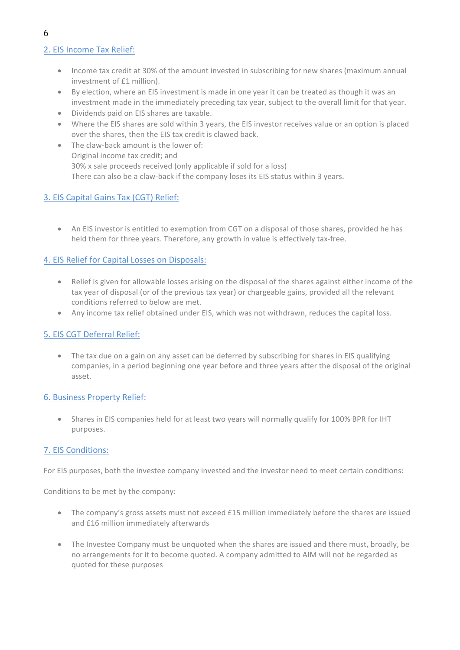# 2. EIS Income Tax Relief:

- Income tax credit at 30% of the amount invested in subscribing for new shares (maximum annual investment of £1 million).
- By election, where an EIS investment is made in one year it can be treated as though it was an investment made in the immediately preceding tax year, subject to the overall limit for that year.
- Dividends paid on EIS shares are taxable.
- Where the EIS shares are sold within 3 years, the EIS investor receives value or an option is placed over the shares, then the EIS tax credit is clawed back.
- The claw-back amount is the lower of: Original income tax credit; and 30% x sale proceeds received (only applicable if sold for a loss) There can also be a claw-back if the company loses its EIS status within 3 years.

### 3. EIS Capital Gains Tax (CGT) Relief:

• An EIS investor is entitled to exemption from CGT on a disposal of those shares, provided he has held them for three years. Therefore, any growth in value is effectively tax-free.

### 4. EIS Relief for Capital Losses on Disposals:

- Relief is given for allowable losses arising on the disposal of the shares against either income of the tax year of disposal (or of the previous tax year) or chargeable gains, provided all the relevant conditions referred to below are met.
- Any income tax relief obtained under EIS, which was not withdrawn, reduces the capital loss.

### 5. EIS CGT Deferral Relief:

• The tax due on a gain on any asset can be deferred by subscribing for shares in EIS qualifying companies, in a period beginning one year before and three years after the disposal of the original asset.

### 6. Business Property Relief:

• Shares in EIS companies held for at least two vears will normally qualify for 100% BPR for IHT purposes.

### 7. EIS Conditions:

For EIS purposes, both the investee company invested and the investor need to meet certain conditions:

Conditions to be met by the company:

- The company's gross assets must not exceed £15 million immediately before the shares are issued and £16 million immediately afterwards
- The Investee Company must be unquoted when the shares are issued and there must, broadly, be no arrangements for it to become quoted. A company admitted to AIM will not be regarded as quoted for these purposes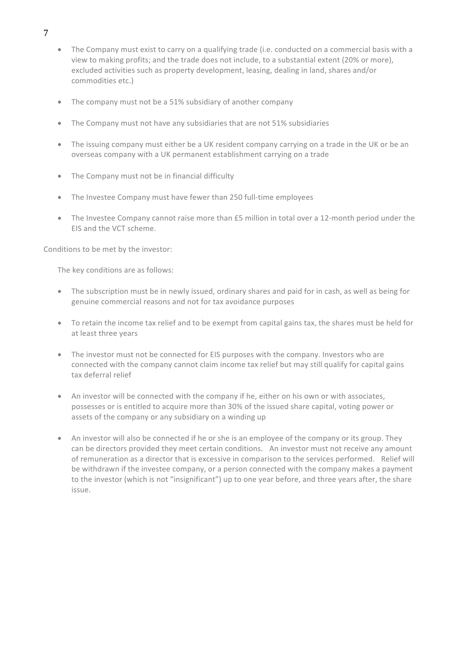- The Company must exist to carry on a qualifying trade (i.e. conducted on a commercial basis with a view to making profits; and the trade does not include, to a substantial extent (20% or more), excluded activities such as property development, leasing, dealing in land, shares and/or commodities etc.)
- The company must not be a 51% subsidiary of another company
- The Company must not have any subsidiaries that are not 51% subsidiaries
- The issuing company must either be a UK resident company carrying on a trade in the UK or be an overseas company with a UK permanent establishment carrying on a trade
- $\bullet$  The Company must not be in financial difficulty
- The Investee Company must have fewer than 250 full-time employees
- The Investee Company cannot raise more than £5 million in total over a 12-month period under the EIS and the VCT scheme.

Conditions to be met by the investor:

The key conditions are as follows:

- The subscription must be in newly issued, ordinary shares and paid for in cash, as well as being for genuine commercial reasons and not for tax avoidance purposes
- To retain the income tax relief and to be exempt from capital gains tax, the shares must be held for at least three years
- The investor must not be connected for EIS purposes with the company. Investors who are connected with the company cannot claim income tax relief but may still qualify for capital gains tax deferral relief
- An investor will be connected with the company if he, either on his own or with associates, possesses or is entitled to acquire more than 30% of the issued share capital, voting power or assets of the company or any subsidiary on a winding up
- An investor will also be connected if he or she is an employee of the company or its group. They can be directors provided they meet certain conditions. An investor must not receive any amount of remuneration as a director that is excessive in comparison to the services performed. Relief will be withdrawn if the investee company, or a person connected with the company makes a payment to the investor (which is not "insignificant") up to one year before, and three years after, the share issue.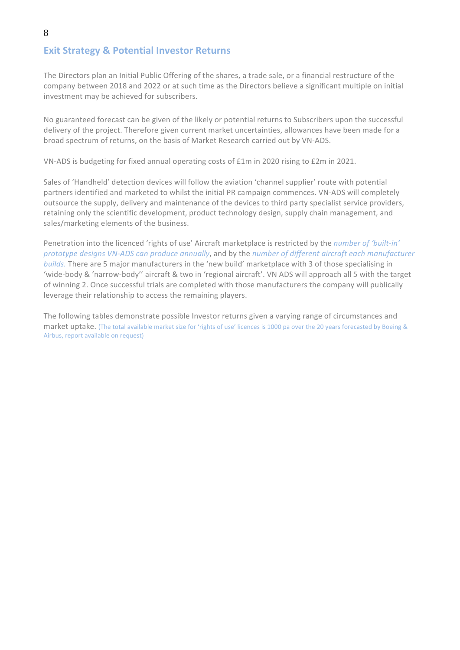# **Exit Strategy & Potential Investor Returns**

The Directors plan an Initial Public Offering of the shares, a trade sale, or a financial restructure of the company between 2018 and 2022 or at such time as the Directors believe a significant multiple on initial investment may be achieved for subscribers.

No guaranteed forecast can be given of the likely or potential returns to Subscribers upon the successful delivery of the project. Therefore given current market uncertainties, allowances have been made for a broad spectrum of returns, on the basis of Market Research carried out by VN-ADS.

VN-ADS is budgeting for fixed annual operating costs of £1m in 2020 rising to £2m in 2021.

Sales of 'Handheld' detection devices will follow the aviation 'channel supplier' route with potential partners identified and marketed to whilst the initial PR campaign commences. VN-ADS will completely outsource the supply, delivery and maintenance of the devices to third party specialist service providers, retaining only the scientific development, product technology design, supply chain management, and sales/marketing elements of the business.

Penetration into the licenced 'rights of use' Aircraft marketplace is restricted by the *number of 'built-in' prototype designs VN-ADS can produce annually*, and by the *number of different aircraft each manufacturer builds*. There are 5 major manufacturers in the 'new build' marketplace with 3 of those specialising in 'wide-body & 'narrow-body'' aircraft & two in 'regional aircraft'. VN ADS will approach all 5 with the target of winning 2. Once successful trials are completed with those manufacturers the company will publically leverage their relationship to access the remaining players.

The following tables demonstrate possible Investor returns given a varying range of circumstances and market uptake. (The total available market size for 'rights of use' licences is 1000 pa over the 20 years forecasted by Boeing & Airbus, report available on request)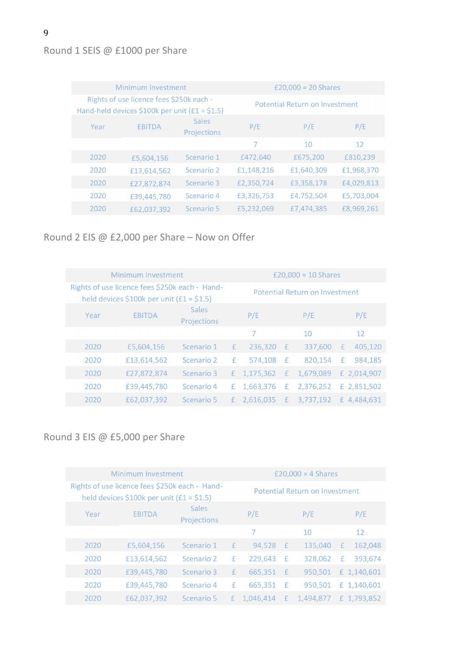# Round 1 SEIS @ £1000 per Share

| Minimum Investment                                                                         |               |                      | £20,000 = $20$ Shares          |            |            |  |  |
|--------------------------------------------------------------------------------------------|---------------|----------------------|--------------------------------|------------|------------|--|--|
| Rights of use licence fees \$250k each -<br>Hand-held devices \$100k per unit (£1 = \$1.5) |               |                      | Potential Return on Investment |            |            |  |  |
| Year                                                                                       | <b>EBITDA</b> | Sales<br>Projections | P/E                            | P/E        | P/E        |  |  |
|                                                                                            |               |                      | 7                              | 10         | 12         |  |  |
| 2020                                                                                       | £5,604,156    | Scenario 1           | £472,640                       | £675,200   | £810,239   |  |  |
| 2020                                                                                       | £13,614,562   | Scenario 2           | £1,148,216                     | £1,640,309 | £1,968,370 |  |  |
| 2020                                                                                       | £27,872,874   | Scenario 3           | £2,350,724                     | £3,358,178 | £4,029,813 |  |  |
| 2020                                                                                       | £39,445,780   | Scenario 4           | £3,326,753                     | £4,752,504 | £5,703,004 |  |  |
| 2020                                                                                       | £62,037,392   | Scenario 5           | £5,232,069                     | £7,474,385 | £8,969,261 |  |  |

# Round 2 EIS @ £2,000 per Share – Now on Offer

| Minimum Investment                                                                           |               |                      |              | £20,000 = 10 Shares            |              |           |   |             |
|----------------------------------------------------------------------------------------------|---------------|----------------------|--------------|--------------------------------|--------------|-----------|---|-------------|
| Rights of use licence fees \$250k each - Hand-<br>held devices \$100k per unit $(f1 = 51.5)$ |               |                      |              | Potential Return on Investment |              |           |   |             |
| Year                                                                                         | <b>FBITDA</b> | Sales<br>Projections |              | P/E                            |              | P/E       |   | P/E         |
|                                                                                              |               |                      |              | 7                              |              | 10        |   | 12          |
| 2020                                                                                         | £5,604,156    | Scenario 1           | $\mathbf{f}$ | 236,320                        | E            | 337,600   | E | 405,120     |
| 2020                                                                                         | £13,614,562   | Scenario 2           | £            | 574,108                        | -£           | 820.154   | £ | 984.185     |
| 2020                                                                                         | £27,872,874   | Scenario 3           | £.           | 1,175,362                      | E            | 1,679,089 |   | £ 2,014,907 |
| 2020                                                                                         | £39,445,780   | Scenario 4           | £            | 1,663,376                      | $\mathbf{f}$ | 2,376,252 |   | £ 2,851,502 |
| 2020                                                                                         | £62,037,392   | Scenario 5           | £.           | 2,616,035                      | E            | 3,737,192 |   | £4,484,631  |

# Round 3 EIS @ £5,000 per Share

| Minimum Investment                                                                           |               |                      |              | £20,000 = 4 Shares             |   |           |   |             |
|----------------------------------------------------------------------------------------------|---------------|----------------------|--------------|--------------------------------|---|-----------|---|-------------|
| Rights of use licence fees \$250k each - Hand-<br>held devices \$100k per unit $(f1 = $1.5)$ |               |                      |              | Potential Return on Investment |   |           |   |             |
| Year                                                                                         | <b>EBITDA</b> | Sales<br>Projections |              | P/E                            |   | P/E       |   | P/E         |
|                                                                                              |               |                      |              |                                |   | 10        |   | 12          |
| 2020                                                                                         | £5,604,156    | Scenario 1           | £            | 94,528                         | E | 135,040   | £ | 162,048     |
| 2020                                                                                         | £13,614,562   | Scenario 2           | £            | 229,643                        | £ | 328,062   | £ | 393,674     |
| 2020                                                                                         | £39,445,780   | Scenario 3           | $\mathbf{f}$ | 665,351                        | £ | 950.501   |   | £ 1,140,601 |
| 2020                                                                                         | £39,445,780   | Scenario 4           | £            | 665,351                        | Æ | 950.501   |   | £ 1,140,601 |
| 2020                                                                                         | £62,037,392   | Scenario 5           | £            | 1,046,414                      | E | 1,494,877 |   | £ 1,793,852 |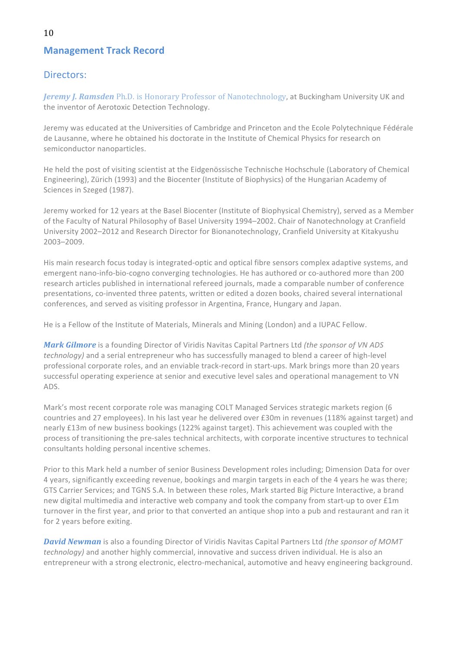# **Management Track Record**

## Directors:

**Jeremy J. Ramsden** Ph.D. is Honorary Professor of Nanotechnology, at Buckingham University UK and the inventor of Aerotoxic Detection Technology.

Jeremy was educated at the Universities of Cambridge and Princeton and the Ecole Polytechnique Fédérale de Lausanne, where he obtained his doctorate in the Institute of Chemical Physics for research on semiconductor nanoparticles.

He held the post of visiting scientist at the Eidgenössische Technische Hochschule (Laboratory of Chemical Engineering), Zürich (1993) and the Biocenter (Institute of Biophysics) of the Hungarian Academy of Sciences in Szeged (1987).

Jeremy worked for 12 years at the Basel Biocenter (Institute of Biophysical Chemistry), served as a Member of the Faculty of Natural Philosophy of Basel University 1994–2002. Chair of Nanotechnology at Cranfield University 2002–2012 and Research Director for Bionanotechnology, Cranfield University at Kitakyushu 2003–2009. 

His main research focus today is integrated-optic and optical fibre sensors complex adaptive systems, and emergent nano-info-bio-cogno converging technologies. He has authored or co-authored more than 200 research articles published in international refereed journals, made a comparable number of conference presentations, co-invented three patents, written or edited a dozen books, chaired several international conferences, and served as visiting professor in Argentina, France, Hungary and Japan.

He is a Fellow of the Institute of Materials, Minerals and Mining (London) and a IUPAC Fellow.

*Mark Gilmore* is a founding Director of Viridis Navitas Capital Partners Ltd (the sponsor of VN ADS *technology*) and a serial entrepreneur who has successfully managed to blend a career of high-level professional corporate roles, and an enviable track-record in start-ups. Mark brings more than 20 years successful operating experience at senior and executive level sales and operational management to VN ADS.

Mark's most recent corporate role was managing COLT Managed Services strategic markets region (6 countries and 27 employees). In his last year he delivered over £30m in revenues (118% against target) and nearly £13m of new business bookings (122% against target). This achievement was coupled with the process of transitioning the pre-sales technical architects, with corporate incentive structures to technical consultants holding personal incentive schemes.

Prior to this Mark held a number of senior Business Development roles including; Dimension Data for over 4 years, significantly exceeding revenue, bookings and margin targets in each of the 4 years he was there; GTS Carrier Services; and TGNS S.A. In between these roles, Mark started Big Picture Interactive, a brand new digital multimedia and interactive web company and took the company from start-up to over £1m turnover in the first year, and prior to that converted an antique shop into a pub and restaurant and ran it for 2 years before exiting.

**David Newman** is also a founding Director of Viridis Navitas Capital Partners Ltd (the sponsor of MOMT *technology*) and another highly commercial, innovative and success driven individual. He is also an entrepreneur with a strong electronic, electro-mechanical, automotive and heavy engineering background.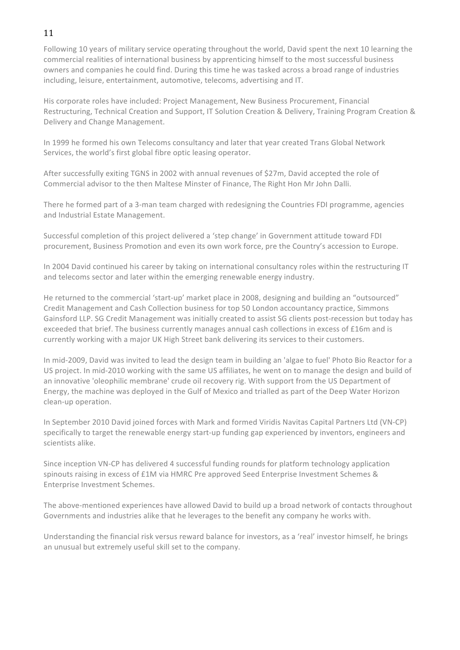# 11

Following 10 years of military service operating throughout the world. David spent the next 10 learning the commercial realities of international business by apprenticing himself to the most successful business owners and companies he could find. During this time he was tasked across a broad range of industries including, leisure, entertainment, automotive, telecoms, advertising and IT.

His corporate roles have included: Project Management, New Business Procurement, Financial Restructuring, Technical Creation and Support, IT Solution Creation & Delivery, Training Program Creation & Delivery and Change Management.

In 1999 he formed his own Telecoms consultancy and later that year created Trans Global Network Services, the world's first global fibre optic leasing operator.

After successfully exiting TGNS in 2002 with annual revenues of \$27m, David accepted the role of Commercial advisor to the then Maltese Minster of Finance, The Right Hon Mr John Dalli.

There he formed part of a 3-man team charged with redesigning the Countries FDI programme, agencies and Industrial Estate Management.

Successful completion of this project delivered a 'step change' in Government attitude toward FDI procurement, Business Promotion and even its own work force, pre the Country's accession to Europe.

In 2004 David continued his career by taking on international consultancy roles within the restructuring IT and telecoms sector and later within the emerging renewable energy industry.

He returned to the commercial 'start-up' market place in 2008, designing and building an "outsourced" Credit Management and Cash Collection business for top 50 London accountancy practice, Simmons Gainsford LLP. SG Credit Management was initially created to assist SG clients post-recession but today has exceeded that brief. The business currently manages annual cash collections in excess of £16m and is currently working with a major UK High Street bank delivering its services to their customers.

In mid-2009, David was invited to lead the design team in building an 'algae to fuel' Photo Bio Reactor for a US project. In mid-2010 working with the same US affiliates, he went on to manage the design and build of an innovative 'oleophilic membrane' crude oil recovery rig. With support from the US Department of Energy, the machine was deployed in the Gulf of Mexico and trialled as part of the Deep Water Horizon clean-up operation.

In September 2010 David joined forces with Mark and formed Viridis Navitas Capital Partners Ltd (VN-CP) specifically to target the renewable energy start-up funding gap experienced by inventors, engineers and scientists alike.

Since inception VN-CP has delivered 4 successful funding rounds for platform technology application spinouts raising in excess of £1M via HMRC Pre approved Seed Enterprise Investment Schemes & Enterprise Investment Schemes.

The above-mentioned experiences have allowed David to build up a broad network of contacts throughout Governments and industries alike that he leverages to the benefit any company he works with.

Understanding the financial risk versus reward balance for investors, as a 'real' investor himself, he brings an unusual but extremely useful skill set to the company.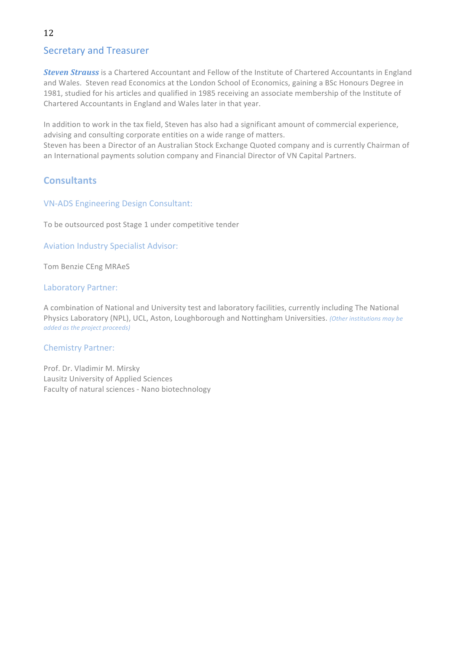# Secretary and Treasurer

**Steven Strauss** is a Chartered Accountant and Fellow of the Institute of Chartered Accountants in England and Wales. Steven read Economics at the London School of Economics, gaining a BSc Honours Degree in 1981, studied for his articles and qualified in 1985 receiving an associate membership of the Institute of Chartered Accountants in England and Wales later in that year.

In addition to work in the tax field, Steven has also had a significant amount of commercial experience, advising and consulting corporate entities on a wide range of matters.

Steven has been a Director of an Australian Stock Exchange Quoted company and is currently Chairman of an International payments solution company and Financial Director of VN Capital Partners.

# **Consultants**

### VN-ADS Engineering Design Consultant:

To be outsourced post Stage 1 under competitive tender

Aviation Industry Specialist Advisor:

Tom Benzie CEng MRAeS

#### Laboratory Partner:

A combination of National and University test and laboratory facilities, currently including The National Physics Laboratory (NPL), UCL, Aston, Loughborough and Nottingham Universities. (Other institutions may be *added as the project proceeds)*

### Chemistry Partner:

Prof. Dr. Vladimir M. Mirsky Lausitz University of Applied Sciences Faculty of natural sciences - Nano biotechnology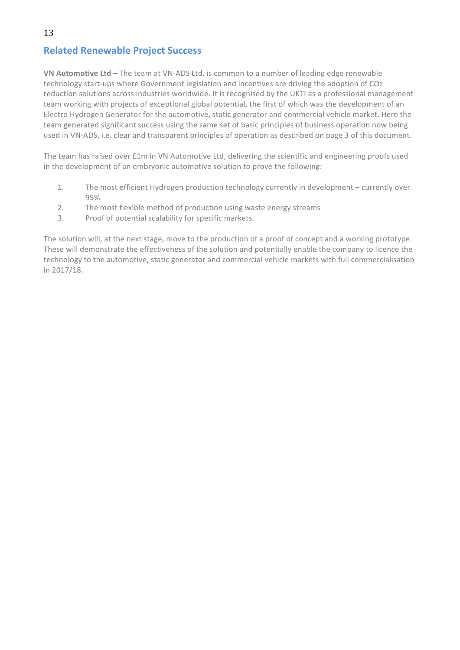# **Related Renewable Project Success**

**VN Automotive Ltd** – The team at VN-ADS Ltd. is common to a number of leading edge renewable technology start-ups where Government legislation and incentives are driving the adoption of CO2 reduction solutions across industries worldwide. It is recognised by the UKTI as a professional management team working with projects of exceptional global potential, the first of which was the development of an Electro Hydrogen Generator for the automotive, static generator and commercial vehicle market. Here the team generated significant success using the same set of basic principles of business operation now being used in VN-ADS, i.e. clear and transparent principles of operation as described on page 3 of this document.

The team has raised over £1m in VN Automotive Ltd, delivering the scientific and engineering proofs used in the development of an embryonic automotive solution to prove the following:

- 1. The most efficient Hydrogen production technology currently in development currently over 95%
- 2. The most flexible method of production using waste energy streams
- 3. Proof of potential scalability for specific markets.

The solution will, at the next stage, move to the production of a proof of concept and a working prototype. These will demonstrate the effectiveness of the solution and potentially enable the company to licence the technology to the automotive, static generator and commercial vehicle markets with full commercialisation in 2017/18.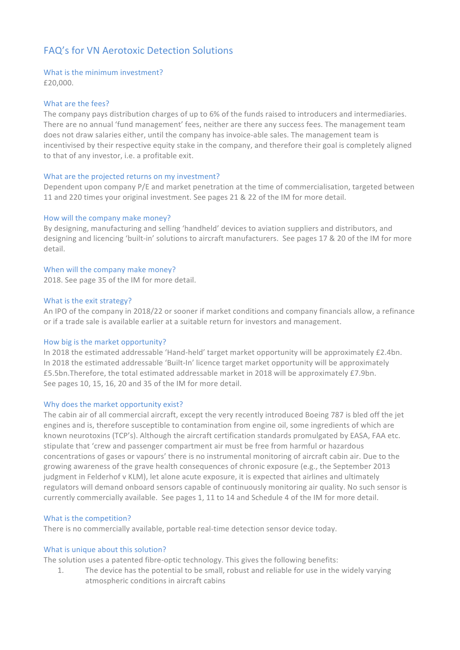# FAQ's for VN Aerotoxic Detection Solutions

#### What is the minimum investment?

£20,000.

#### What are the fees?

The company pays distribution charges of up to 6% of the funds raised to introducers and intermediaries. There are no annual 'fund management' fees, neither are there any success fees. The management team does not draw salaries either, until the company has invoice-able sales. The management team is incentivised by their respective equity stake in the company, and therefore their goal is completely aligned to that of any investor, i.e. a profitable exit.

#### What are the projected returns on my investment?

Dependent upon company P/E and market penetration at the time of commercialisation, targeted between 11 and 220 times your original investment. See pages 21 & 22 of the IM for more detail.

#### How will the company make money?

By designing, manufacturing and selling 'handheld' devices to aviation suppliers and distributors, and designing and licencing 'built-in' solutions to aircraft manufacturers. See pages 17 & 20 of the IM for more detail. 

# When will the company make money?

2018. See page 35 of the IM for more detail.

#### What is the exit strategy?

An IPO of the company in 2018/22 or sooner if market conditions and company financials allow, a refinance or if a trade sale is available earlier at a suitable return for investors and management.

#### How big is the market opportunity?

In 2018 the estimated addressable 'Hand-held' target market opportunity will be approximately £2.4bn. In 2018 the estimated addressable 'Built-In' licence target market opportunity will be approximately £5.5bn.Therefore, the total estimated addressable market in 2018 will be approximately £7.9bn. See pages 10, 15, 16, 20 and 35 of the IM for more detail.

#### Why does the market opportunity exist?

The cabin air of all commercial aircraft, except the very recently introduced Boeing 787 is bled off the jet engines and is, therefore susceptible to contamination from engine oil, some ingredients of which are known neurotoxins (TCP's). Although the aircraft certification standards promulgated by EASA, FAA etc. stipulate that 'crew and passenger compartment air must be free from harmful or hazardous concentrations of gases or vapours' there is no instrumental monitoring of aircraft cabin air. Due to the growing awareness of the grave health consequences of chronic exposure (e.g., the September 2013 judgment in Felderhof v KLM), let alone acute exposure, it is expected that airlines and ultimately regulators will demand onboard sensors capable of continuously monitoring air quality. No such sensor is currently commercially available. See pages 1, 11 to 14 and Schedule 4 of the IM for more detail.

#### What is the competition?

There is no commercially available, portable real-time detection sensor device today.

#### What is unique about this solution?

The solution uses a patented fibre-optic technology. This gives the following benefits:

1. The device has the potential to be small, robust and reliable for use in the widely varying atmospheric conditions in aircraft cabins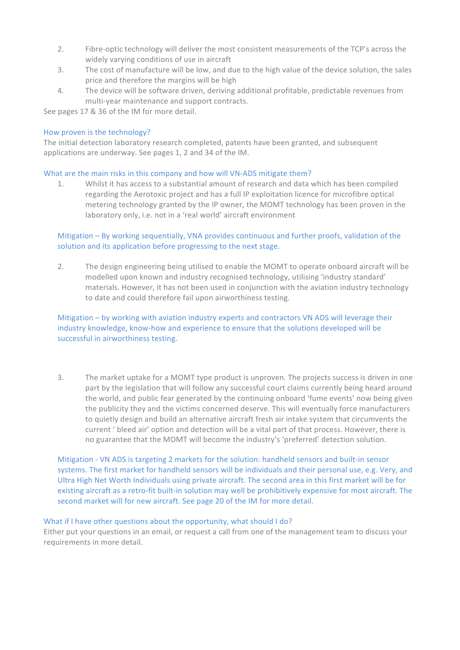- 2. Fibre-optic technology will deliver the most consistent measurements of the TCP's across the widely varying conditions of use in aircraft
- 3. The cost of manufacture will be low, and due to the high value of the device solution, the sales price and therefore the margins will be high
- 4. The device will be software driven, deriving additional profitable, predictable revenues from multi-year maintenance and support contracts.

See pages 17 & 36 of the IM for more detail.

#### How proven is the technology?

The initial detection laboratory research completed, patents have been granted, and subsequent applications are underway. See pages 1, 2 and 34 of the IM.

#### What are the main risks in this company and how will VN-ADS mitigate them?

1. Whilst it has access to a substantial amount of research and data which has been compiled regarding the Aerotoxic project and has a full IP exploitation licence for microfibre optical metering technology granted by the IP owner, the MOMT technology has been proven in the laboratory only, i.e. not in a 'real world' aircraft environment

#### Mitigation – By working sequentially, VNA provides continuous and further proofs, validation of the solution and its application before progressing to the next stage.

2. The design engineering being utilised to enable the MOMT to operate onboard aircraft will be modelled upon known and industry recognised technology, utilising 'industry standard' materials. However, it has not been used in conjunction with the aviation industry technology to date and could therefore fail upon airworthiness testing.

#### Mitigation – by working with aviation industry experts and contractors VN ADS will leverage their industry knowledge, know-how and experience to ensure that the solutions developed will be successful in airworthiness testing.

3. The market uptake for a MOMT type product is unproven. The projects success is driven in one part by the legislation that will follow any successful court claims currently being heard around the world, and public fear generated by the continuing onboard 'fume events' now being given the publicity they and the victims concerned deserve. This will eventually force manufacturers to quietly design and build an alternative aircraft fresh air intake system that circumvents the current ' bleed air' option and detection will be a vital part of that process. However, there is no guarantee that the MOMT will become the industry's 'preferred' detection solution.

Mitigation - VN ADS is targeting 2 markets for the solution: handheld sensors and built-in sensor systems. The first market for handheld sensors will be individuals and their personal use, e.g. Very, and Ultra High Net Worth Individuals using private aircraft. The second area in this first market will be for existing aircraft as a retro-fit built-in solution may well be prohibitively expensive for most aircraft. The second market will for new aircraft. See page 20 of the IM for more detail.

#### What if I have other questions about the opportunity, what should I do?

Either put your questions in an email, or request a call from one of the management team to discuss your requirements in more detail.